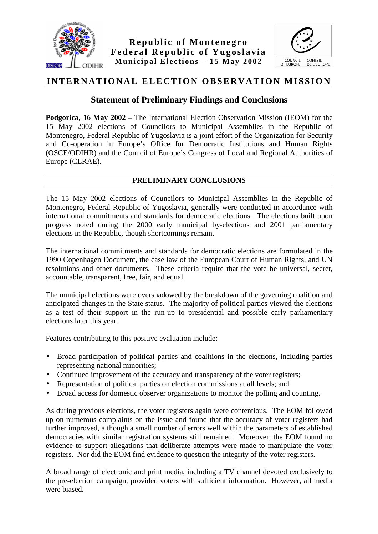



# **INTERNATIONAL ELECTION OBSERVATION MISSION**

# **Statement of Preliminary Findings and Conclusions**

**Podgorica, 16 May 2002** – The International Election Observation Mission (IEOM) for the 15 May 2002 elections of Councilors to Municipal Assemblies in the Republic of Montenegro, Federal Republic of Yugoslavia is a joint effort of the Organization for Security and Co-operation in Europe's Office for Democratic Institutions and Human Rights (OSCE/ODIHR) and the Council of Europe's Congress of Local and Regional Authorities of Europe (CLRAE).

# **PRELIMINARY CONCLUSIONS**

The 15 May 2002 elections of Councilors to Municipal Assemblies in the Republic of Montenegro, Federal Republic of Yugoslavia, generally were conducted in accordance with international commitments and standards for democratic elections. The elections built upon progress noted during the 2000 early municipal by-elections and 2001 parliamentary elections in the Republic, though shortcomings remain.

The international commitments and standards for democratic elections are formulated in the 1990 Copenhagen Document, the case law of the European Court of Human Rights, and UN resolutions and other documents. These criteria require that the vote be universal, secret, accountable, transparent, free, fair, and equal.

The municipal elections were overshadowed by the breakdown of the governing coalition and anticipated changes in the State status. The majority of political parties viewed the elections as a test of their support in the run-up to presidential and possible early parliamentary elections later this year.

Features contributing to this positive evaluation include:

- Broad participation of political parties and coalitions in the elections, including parties representing national minorities;
- Continued improvement of the accuracy and transparency of the voter registers;
- Representation of political parties on election commissions at all levels; and
- Broad access for domestic observer organizations to monitor the polling and counting.

As during previous elections, the voter registers again were contentious. The EOM followed up on numerous complaints on the issue and found that the accuracy of voter registers had further improved, although a small number of errors well within the parameters of established democracies with similar registration systems still remained. Moreover, the EOM found no evidence to support allegations that deliberate attempts were made to manipulate the voter registers. Nor did the EOM find evidence to question the integrity of the voter registers.

A broad range of electronic and print media, including a TV channel devoted exclusively to the pre-election campaign, provided voters with sufficient information. However, all media were biased.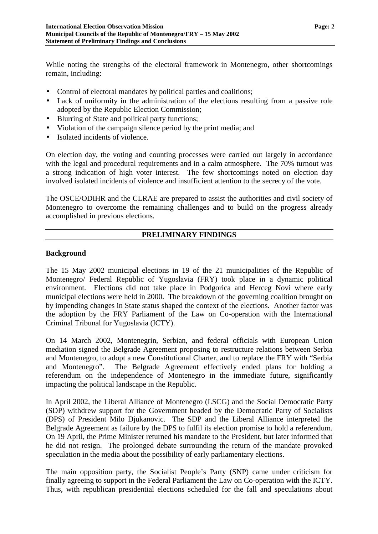While noting the strengths of the electoral framework in Montenegro, other shortcomings remain, including:

- Control of electoral mandates by political parties and coalitions;
- Lack of uniformity in the administration of the elections resulting from a passive role adopted by the Republic Election Commission;
- Blurring of State and political party functions;
- Violation of the campaign silence period by the print media; and
- Isolated incidents of violence.

On election day, the voting and counting processes were carried out largely in accordance with the legal and procedural requirements and in a calm atmosphere. The 70% turnout was a strong indication of high voter interest. The few shortcomings noted on election day involved isolated incidents of violence and insufficient attention to the secrecy of the vote.

The OSCE/ODIHR and the CLRAE are prepared to assist the authorities and civil society of Montenegro to overcome the remaining challenges and to build on the progress already accomplished in previous elections.

# **PRELIMINARY FINDINGS**

#### **Background**

The 15 May 2002 municipal elections in 19 of the 21 municipalities of the Republic of Montenegro/ Federal Republic of Yugoslavia (FRY) took place in a dynamic political environment. Elections did not take place in Podgorica and Herceg Novi where early municipal elections were held in 2000. The breakdown of the governing coalition brought on by impending changes in State status shaped the context of the elections. Another factor was the adoption by the FRY Parliament of the Law on Co-operation with the International Criminal Tribunal for Yugoslavia (ICTY).

On 14 March 2002, Montenegrin, Serbian, and federal officials with European Union mediation signed the Belgrade Agreement proposing to restructure relations between Serbia and Montenegro, to adopt a new Constitutional Charter, and to replace the FRY with "Serbia and Montenegro". The Belgrade Agreement effectively ended plans for holding a referendum on the independence of Montenegro in the immediate future, significantly impacting the political landscape in the Republic.

In April 2002, the Liberal Alliance of Montenegro (LSCG) and the Social Democratic Party (SDP) withdrew support for the Government headed by the Democratic Party of Socialists (DPS) of President Milo Djukanovic. The SDP and the Liberal Alliance interpreted the Belgrade Agreement as failure by the DPS to fulfil its election promise to hold a referendum. On 19 April, the Prime Minister returned his mandate to the President, but later informed that he did not resign. The prolonged debate surrounding the return of the mandate provoked speculation in the media about the possibility of early parliamentary elections.

The main opposition party, the Socialist People's Party (SNP) came under criticism for finally agreeing to support in the Federal Parliament the Law on Co-operation with the ICTY. Thus, with republican presidential elections scheduled for the fall and speculations about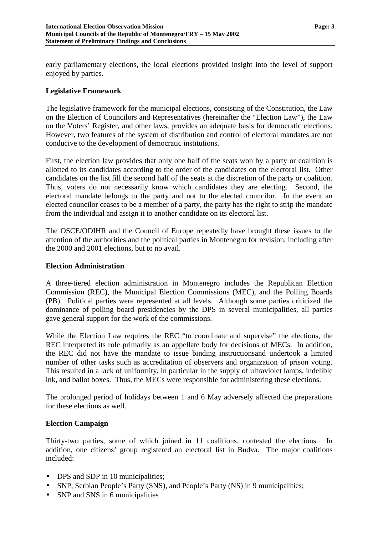early parliamentary elections, the local elections provided insight into the level of support enjoyed by parties.

# **Legislative Framework**

The legislative framework for the municipal elections, consisting of the Constitution, the Law on the Election of Councilors and Representatives (hereinafter the "Election Law"), the Law on the Voters' Register, and other laws, provides an adequate basis for democratic elections. However, two features of the system of distribution and control of electoral mandates are not conducive to the development of democratic institutions.

First, the election law provides that only one half of the seats won by a party or coalition is allotted to its candidates according to the order of the candidates on the electoral list. Other candidates on the list fill the second half of the seats at the discretion of the party or coalition. Thus, voters do not necessarily know which candidates they are electing. Second, the electoral mandate belongs to the party and not to the elected councilor. In the event an elected councilor ceases to be a member of a party, the party has the right to strip the mandate from the individual and assign it to another candidate on its electoral list.

The OSCE/ODIHR and the Council of Europe repeatedly have brought these issues to the attention of the authorities and the political parties in Montenegro for revision, including after the 2000 and 2001 elections, but to no avail.

### **Election Administration**

A three-tiered election administration in Montenegro includes the Republican Election Commission (REC), the Municipal Election Commissions (MEC), and the Polling Boards (PB). Political parties were represented at all levels. Although some parties criticized the dominance of polling board presidencies by the DPS in several municipalities, all parties gave general support for the work of the commissions.

While the Election Law requires the REC "to coordinate and supervise" the elections, the REC interpreted its role primarily as an appellate body for decisions of MECs. In addition, the REC did not have the mandate to issue binding instructionsand undertook a limited number of other tasks such as accreditation of observers and organization of prison voting. This resulted in a lack of uniformity, in particular in the supply of ultraviolet lamps, indelible ink, and ballot boxes. Thus, the MECs were responsible for administering these elections.

The prolonged period of holidays between 1 and 6 May adversely affected the preparations for these elections as well.

# **Election Campaign**

Thirty-two parties, some of which joined in 11 coalitions, contested the elections. In addition, one citizens' group registered an electoral list in Budva. The major coalitions included:

- DPS and SDP in 10 municipalities:
- SNP, Serbian People's Party (SNS), and People's Party (NS) in 9 municipalities;
- SNP and SNS in 6 municipalities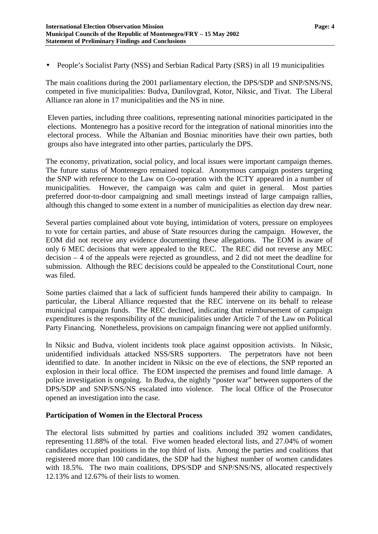• People's Socialist Party (NSS) and Serbian Radical Party (SRS) in all 19 municipalities

The main coalitions during the 2001 parliamentary election, the DPS/SDP and SNP/SNS/NS, competed in five municipalities: Budva, Danilovgrad, Kotor, Niksic, and Tivat. The Liberal Alliance ran alone in 17 municipalities and the NS in nine.

Eleven parties, including three coalitions, representing national minorities participated in the elections. Montenegro has a positive record for the integration of national minorities into the electoral process. While the Albanian and Bosniac minorities have their own parties, both groups also have integrated into other parties, particularly the DPS.

The economy, privatization, social policy, and local issues were important campaign themes. The future status of Montenegro remained topical. Anonymous campaign posters targeting the SNP with reference to the Law on Co-operation with the ICTY appeared in a number of municipalities. However, the campaign was calm and quiet in general. Most parties preferred door-to-door campaigning and small meetings instead of large campaign rallies, although this changed to some extent in a number of municipalities as election day drew near.

Several parties complained about vote buying, intimidation of voters, pressure on employees to vote for certain parties, and abuse of State resources during the campaign. However, the EOM did not receive any evidence documenting these allegations. The EOM is aware of only 6 MEC decisions that were appealed to the REC. The REC did not reverse any MEC decision – 4 of the appeals were rejected as groundless, and 2 did not meet the deadline for submission. Although the REC decisions could be appealed to the Constitutional Court, none was filed.

Some parties claimed that a lack of sufficient funds hampered their ability to campaign. In particular, the Liberal Alliance requested that the REC intervene on its behalf to release municipal campaign funds. The REC declined, indicating that reimbursement of campaign expenditures is the responsibility of the municipalities under Article 7 of the Law on Political Party Financing. Nonetheless, provisions on campaign financing were not applied uniformly.

In Niksic and Budva, violent incidents took place against opposition activists. In Niksic, unidentified individuals attacked NSS/SRS supporters. The perpetrators have not been identified to date. In another incident in Niksic on the eve of elections, the SNP reported an explosion in their local office. The EOM inspected the premises and found little damage. A police investigation is ongoing. In Budva, the nightly "poster war" between supporters of the DPS/SDP and SNP/SNS/NS escalated into violence. The local Office of the Prosecutor opened an investigation into the case.

#### **Participation of Women in the Electoral Process**

The electoral lists submitted by parties and coalitions included 392 women candidates, representing 11.88% of the total. Five women headed electoral lists, and 27.04% of women candidates occupied positions in the top third of lists. Among the parties and coalitions that registered more than 100 candidates, the SDP had the highest number of women candidates with 18.5%. The two main coalitions, DPS/SDP and SNP/SNS/NS, allocated respectively 12.13% and 12.67% of their lists to women.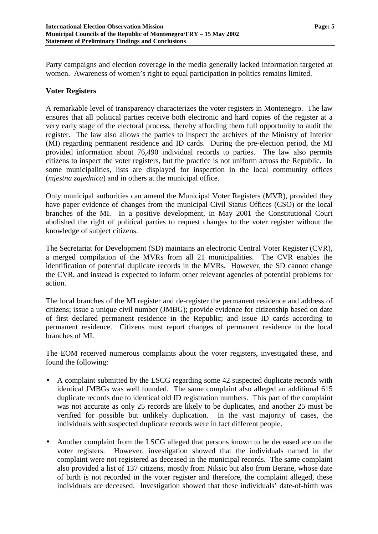Party campaigns and election coverage in the media generally lacked information targeted at women. Awareness of women's right to equal participation in politics remains limited.

# **Voter Registers**

A remarkable level of transparency characterizes the voter registers in Montenegro. The law ensures that all political parties receive both electronic and hard copies of the register at a very early stage of the electoral process, thereby affording them full opportunity to audit the register. The law also allows the parties to inspect the archives of the Ministry of Interior (MI) regarding permanent residence and ID cards. During the pre-election period, the MI provided information about 76,490 individual records to parties. The law also permits citizens to inspect the voter registers, but the practice is not uniform across the Republic. In some municipalities, lists are displayed for inspection in the local community offices (*mjestna zajednica*) and in others at the municipal office.

Only municipal authorities can amend the Municipal Voter Registers (MVR), provided they have paper evidence of changes from the municipal Civil Status Offices (CSO) or the local branches of the MI. In a positive development, in May 2001 the Constitutional Court abolished the right of political parties to request changes to the voter register without the knowledge of subject citizens.

The Secretariat for Development (SD) maintains an electronic Central Voter Register (CVR), a merged compilation of the MVRs from all 21 municipalities. The CVR enables the identification of potential duplicate records in the MVRs. However, the SD cannot change the CVR, and instead is expected to inform other relevant agencies of potential problems for action.

The local branches of the MI register and de-register the permanent residence and address of citizens; issue a unique civil number (JMBG); provide evidence for citizenship based on date of first declared permanent residence in the Republic; and issue ID cards according to permanent residence. Citizens must report changes of permanent residence to the local branches of MI.

The EOM received numerous complaints about the voter registers, investigated these, and found the following:

- A complaint submitted by the LSCG regarding some 42 suspected duplicate records with identical JMBGs was well founded. The same complaint also alleged an additional 615 duplicate records due to identical old ID registration numbers. This part of the complaint was not accurate as only 25 records are likely to be duplicates, and another 25 must be verified for possible but unlikely duplication. In the vast majority of cases, the individuals with suspected duplicate records were in fact different people.
- Another complaint from the LSCG alleged that persons known to be deceased are on the voter registers. However, investigation showed that the individuals named in the complaint were not registered as deceased in the municipal records. The same complaint also provided a list of 137 citizens, mostly from Niksic but also from Berane, whose date of birth is not recorded in the voter register and therefore, the complaint alleged, these individuals are deceased. Investigation showed that these individuals' date-of-birth was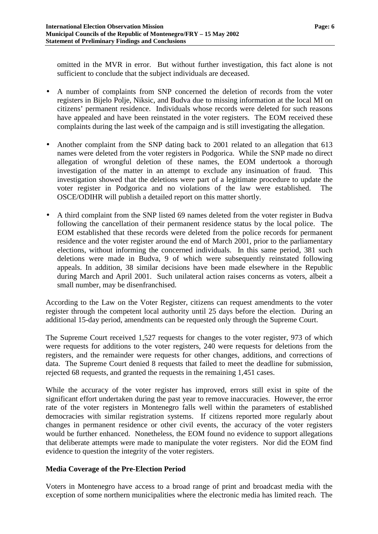omitted in the MVR in error. But without further investigation, this fact alone is not sufficient to conclude that the subject individuals are deceased.

- A number of complaints from SNP concerned the deletion of records from the voter registers in Bijelo Polje, Niksic, and Budva due to missing information at the local MI on citizens' permanent residence. Individuals whose records were deleted for such reasons have appealed and have been reinstated in the voter registers. The EOM received these complaints during the last week of the campaign and is still investigating the allegation.
- Another complaint from the SNP dating back to 2001 related to an allegation that 613 names were deleted from the voter registers in Podgorica. While the SNP made no direct allegation of wrongful deletion of these names, the EOM undertook a thorough investigation of the matter in an attempt to exclude any insinuation of fraud. This investigation showed that the deletions were part of a legitimate procedure to update the voter register in Podgorica and no violations of the law were established. The OSCE/ODIHR will publish a detailed report on this matter shortly.
- A third complaint from the SNP listed 69 names deleted from the voter register in Budva following the cancellation of their permanent residence status by the local police. The EOM established that these records were deleted from the police records for permanent residence and the voter register around the end of March 2001, prior to the parliamentary elections, without informing the concerned individuals. In this same period, 381 such deletions were made in Budva, 9 of which were subsequently reinstated following appeals. In addition, 38 similar decisions have been made elsewhere in the Republic during March and April 2001. Such unilateral action raises concerns as voters, albeit a small number, may be disenfranchised.

According to the Law on the Voter Register, citizens can request amendments to the voter register through the competent local authority until 25 days before the election. During an additional 15-day period, amendments can be requested only through the Supreme Court.

The Supreme Court received 1,527 requests for changes to the voter register, 973 of which were requests for additions to the voter registers, 240 were requests for deletions from the registers, and the remainder were requests for other changes, additions, and corrections of data. The Supreme Court denied 8 requests that failed to meet the deadline for submission, rejected 68 requests, and granted the requests in the remaining 1,451 cases.

While the accuracy of the voter register has improved, errors still exist in spite of the significant effort undertaken during the past year to remove inaccuracies. However, the error rate of the voter registers in Montenegro falls well within the parameters of established democracies with similar registration systems. If citizens reported more regularly about changes in permanent residence or other civil events, the accuracy of the voter registers would be further enhanced. Nonetheless, the EOM found no evidence to support allegations that deliberate attempts were made to manipulate the voter registers. Nor did the EOM find evidence to question the integrity of the voter registers.

# **Media Coverage of the Pre-Election Period**

Voters in Montenegro have access to a broad range of print and broadcast media with the exception of some northern municipalities where the electronic media has limited reach. The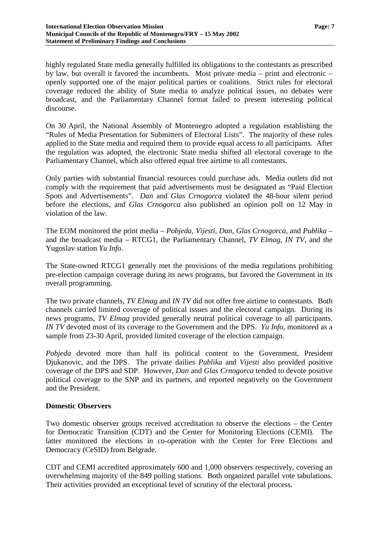highly regulated State media generally fulfilled its obligations to the contestants as prescribed by law, but overall it favored the incumbents. Most private media – print and electronic – openly supported one of the major political parties or coalitions. Strict rules for electoral coverage reduced the ability of State media to analyze political issues, no debates were broadcast, and the Parliamentary Channel format failed to present interesting political discourse.

On 30 April, the National Assembly of Montenegro adopted a regulation establishing the "Rules of Media Presentation for Submitters of Electoral Lists". The majority of these rules applied to the State media and required them to provide equal access to all participants. After the regulation was adopted, the electronic State media shifted all electoral coverage to the Parliamentary Channel, which also offered equal free airtime to all contestants.

Only parties with substantial financial resources could purchase ads. Media outlets did not comply with the requirement that paid advertisements must be designated as "Paid Election Spots and Advertisements". *Dan* and *Glas Crnogorca* violated the 48-hour silent period before the elections, and *Glas Crnogorca* also published an opinion poll on 12 May in violation of the law.

The EOM monitored the print media – *Pobjeda*, *Vijesti*, *Dan*, *Glas Crnogorca,* and *Publika –* and the broadcast media – RTCG1, the Parliamentary Channel, *TV Elmag*, *IN TV*, and the Yugoslav station *Yu Info*.

The State-owned RTCG1 generally met the provisions of the media regulations prohibiting pre-election campaign coverage during its news programs, but favored the Government in its overall programming.

The two private channels, *TV Elmag* and *IN TV* did not offer free airtime to contestants. Both channels carried limited coverage of political issues and the electoral campaign. During its news programs, *TV Elmag* provided generally neutral political coverage to all participants. *IN TV* devoted most of its coverage to the Government and the DPS. *Yu Info*, monitored as a sample from 23-30 April, provided limited coverage of the election campaign.

*Pobjeda* devoted more than half its political content to the Government, President Djukanovic, and the DPS. The private dailies *Publika* and *Vijesti* also provided positive coverage of the DPS and SDP. However, *Dan* and *Glas Crnogorca* tended to devote positive political coverage to the SNP and its partners, and reported negatively on the Government and the President.

#### **Domestic Observers**

Two domestic observer groups received accreditation to observe the elections – the Center for Democratic Transition (CDT) and the Center for Monitoring Elections (CEMI). The latter monitored the elections in co-operation with the Center for Free Elections and Democracy (CeSID) from Belgrade.

CDT and CEMI accredited approximately 600 and 1,000 observers respectively, covering an overwhelming majority of the 849 polling stations. Both organized parallel vote tabulations. Their activities provided an exceptional level of scrutiny of the electoral process.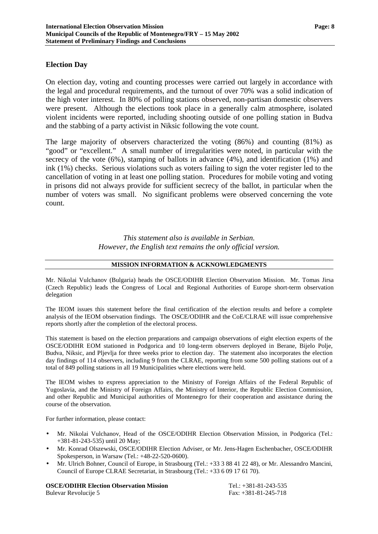#### **Election Day**

On election day, voting and counting processes were carried out largely in accordance with the legal and procedural requirements, and the turnout of over 70% was a solid indication of the high voter interest. In 80% of polling stations observed, non-partisan domestic observers were present. Although the elections took place in a generally calm atmosphere, isolated violent incidents were reported, including shooting outside of one polling station in Budva and the stabbing of a party activist in Niksic following the vote count.

The large majority of observers characterized the voting (86%) and counting (81%) as "good" or "excellent." A small number of irregularities were noted, in particular with the secrecy of the vote (6%), stamping of ballots in advance (4%), and identification (1%) and ink (1%) checks. Serious violations such as voters failing to sign the voter register led to the cancellation of voting in at least one polling station. Procedures for mobile voting and voting in prisons did not always provide for sufficient secrecy of the ballot, in particular when the number of voters was small. No significant problems were observed concerning the vote count.

> *This statement also is available in Serbian. However, the English text remains the only official version.*

### **MISSION INFORMATION & ACKNOWLEDGMENTS**

Mr. Nikolai Vulchanov (Bulgaria) heads the OSCE/ODIHR Election Observation Mission. Mr. Tomas Jirsa (Czech Republic) leads the Congress of Local and Regional Authorities of Europe short-term observation delegation

The IEOM issues this statement before the final certification of the election results and before a complete analysis of the IEOM observation findings. The OSCE/ODIHR and the CoE/CLRAE will issue comprehensive reports shortly after the completion of the electoral process.

This statement is based on the election preparations and campaign observations of eight election experts of the OSCE/ODIHR EOM stationed in Podgorica and 10 long-term observers deployed in Berane, Bijelo Polje, Budva, Niksic, and Pljevlja for three weeks prior to election day. The statement also incorporates the election day findings of 114 observers, including 9 from the CLRAE, reporting from some 500 polling stations out of a total of 849 polling stations in all 19 Municipalities where elections were held.

The IEOM wishes to express appreciation to the Ministry of Foreign Affairs of the Federal Republic of Yugoslavia, and the Ministry of Foreign Affairs, the Ministry of Interior, the Republic Election Commission, and other Republic and Municipal authorities of Montenegro for their cooperation and assistance during the course of the observation.

For further information, please contact:

- Mr. Nikolai Vulchanov, Head of the OSCE/ODIHR Election Observation Mission, in Podgorica (Tel.: +381-81-243-535) until 20 May;
- Mr. Konrad Olszewski, OSCE/ODIHR Election Adviser, or Mr. Jens-Hagen Eschenbacher, OSCE/ODIHR Spokesperson, in Warsaw (Tel.: +48-22-520-0600).
- Mr. Ulrich Bohner, Council of Europe, in Strasbourg (Tel.: +33 3 88 41 22 48), or Mr. Alessandro Mancini, Council of Europe CLRAE Secretariat, in Strasbourg (Tel.: +33 6 09 17 61 70).

**OSCE/ODIHR Election Observation Mission** Tel.: +381-81-243-535 Bulevar Revolucije 5 Fax: +381-81-245-718